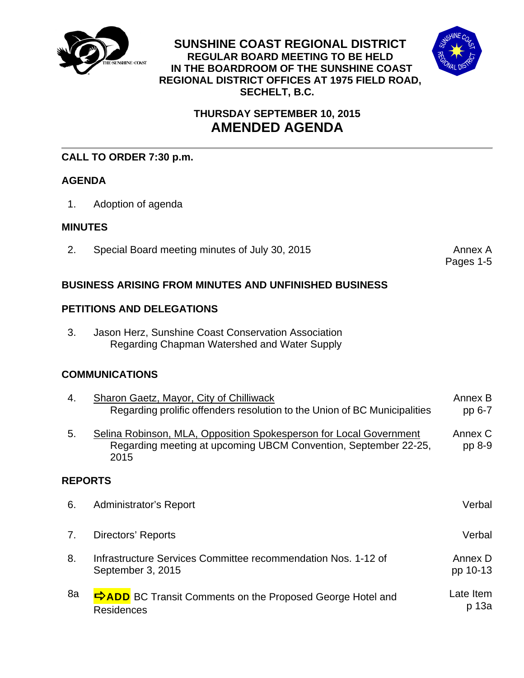

**SUNSHINE COAST REGIONAL DISTRICT REGULAR BOARD MEETING TO BE HELD IN THE BOARDROOM OF THE SUNSHINE COAST REGIONAL DISTRICT OFFICES AT 1975 FIELD ROAD, SECHELT, B.C.** 



# **THURSDAY SEPTEMBER 10, 2015 AMENDED AGENDA**

# **CALL TO ORDER 7:30 p.m.**

## **AGENDA**

1. Adoption of agenda

## **MINUTES**

2. Special Board meeting minutes of July 30, 2015

Pages 1-5

## **BUSINESS ARISING FROM MINUTES AND UNFINISHED BUSINESS**

## **PETITIONS AND DELEGATIONS**

3. Jason Herz, Sunshine Coast Conservation Association Regarding Chapman Watershed and Water Supply

# **COMMUNICATIONS**

| 4.             | Sharon Gaetz, Mayor, City of Chilliwack<br>Regarding prolific offenders resolution to the Union of BC Municipalities                          | Annex B<br>pp 6-7   |
|----------------|-----------------------------------------------------------------------------------------------------------------------------------------------|---------------------|
| 5.             | Selina Robinson, MLA, Opposition Spokesperson for Local Government<br>Regarding meeting at upcoming UBCM Convention, September 22-25,<br>2015 | Annex C<br>pp 8-9   |
| <b>REPORTS</b> |                                                                                                                                               |                     |
| 6.             | Administrator's Report                                                                                                                        | Verbal              |
| 7.             | Directors' Reports                                                                                                                            | Verbal              |
| 8.             | Infrastructure Services Committee recommendation Nos. 1-12 of<br>September 3, 2015                                                            | Annex D<br>pp 10-13 |
| 8a             | <b>ORDIA</b> BC Transit Comments on the Proposed George Hotel and<br><b>Residences</b>                                                        | Late Item<br>p 13a  |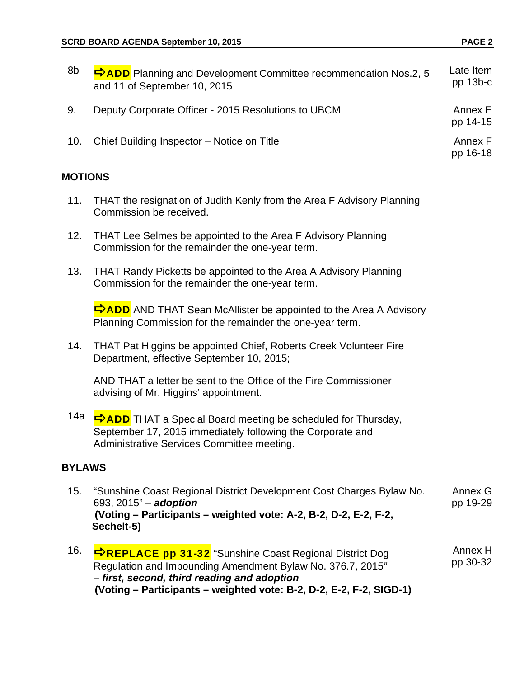| 8b      | <b>DADD</b> Planning and Development Committee recommendation Nos.2, 5<br>and 11 of September 10, 2015                                                                                                                                             | Late Item<br>pp 13b-c |  |  |  |
|---------|----------------------------------------------------------------------------------------------------------------------------------------------------------------------------------------------------------------------------------------------------|-----------------------|--|--|--|
| 9.      | Deputy Corporate Officer - 2015 Resolutions to UBCM                                                                                                                                                                                                | Annex E<br>pp 14-15   |  |  |  |
| 10.     | Chief Building Inspector - Notice on Title                                                                                                                                                                                                         | Annex F<br>pp 16-18   |  |  |  |
| MOTIONS |                                                                                                                                                                                                                                                    |                       |  |  |  |
| 11.     | THAT the resignation of Judith Kenly from the Area F Advisory Planning<br>Commission be received.                                                                                                                                                  |                       |  |  |  |
| 12.     | THAT Lee Selmes be appointed to the Area F Advisory Planning<br>Commission for the remainder the one-year term.                                                                                                                                    |                       |  |  |  |
| 13.     | THAT Randy Picketts be appointed to the Area A Advisory Planning<br>Commission for the remainder the one-year term.                                                                                                                                |                       |  |  |  |
|         | <b>ORZADD</b> AND THAT Sean McAllister be appointed to the Area A Advisory<br>Planning Commission for the remainder the one-year term.                                                                                                             |                       |  |  |  |
| 14.     | THAT Pat Higgins be appointed Chief, Roberts Creek Volunteer Fire<br>Department, effective September 10, 2015;                                                                                                                                     |                       |  |  |  |
|         | AND THAT a letter be sent to the Office of the Fire Commissioner<br>advising of Mr. Higgins' appointment.                                                                                                                                          |                       |  |  |  |
|         | 14a <mark>→ ADD</mark> THAT a Special Board meeting be scheduled for Thursday,<br>September 17, 2015 immediately following the Corporate and<br>Administrative Services Committee meeting.                                                         |                       |  |  |  |
|         | <b>BYLAWS</b>                                                                                                                                                                                                                                      |                       |  |  |  |
| 15.     | "Sunshine Coast Regional District Development Cost Charges Bylaw No.<br>693, 2015" - adoption<br>(Voting – Participants – weighted vote: A-2, B-2, D-2, E-2, F-2,<br>Sechelt-5)                                                                    | Annex G<br>pp 19-29   |  |  |  |
| 16.     | <b>⇒REPLACE pp 31-32</b> "Sunshine Coast Regional District Dog<br>Regulation and Impounding Amendment Bylaw No. 376.7, 2015"<br>- first, second, third reading and adoption<br>(Voting – Participants – weighted vote: B-2, D-2, E-2, F-2, SIGD-1) | Annex H<br>pp 30-32   |  |  |  |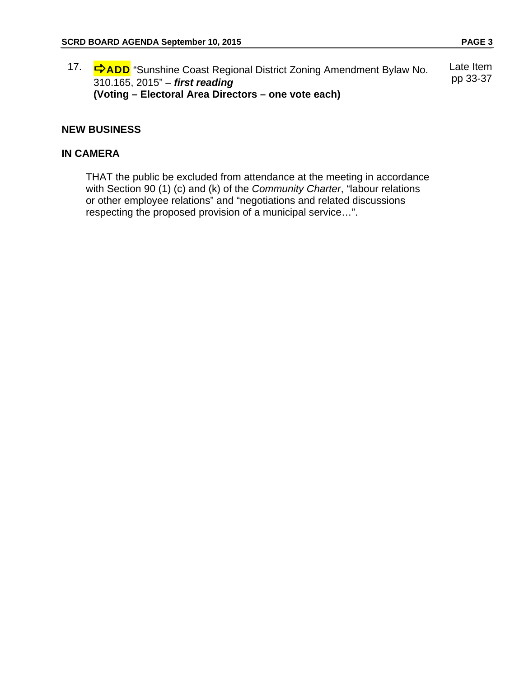17. **⇒ADD** "Sunshine Coast Regional District Zoning Amendment Bylaw No. 310.165, 2015" – *first reading*  **(Voting – Electoral Area Directors – one vote each)**  Late Item pp 33-37

#### **NEW BUSINESS**

## **IN CAMERA**

 THAT the public be excluded from attendance at the meeting in accordance with Section 90 (1) (c) and (k) of the *Community Charter*, "labour relations or other employee relations" and "negotiations and related discussions respecting the proposed provision of a municipal service…".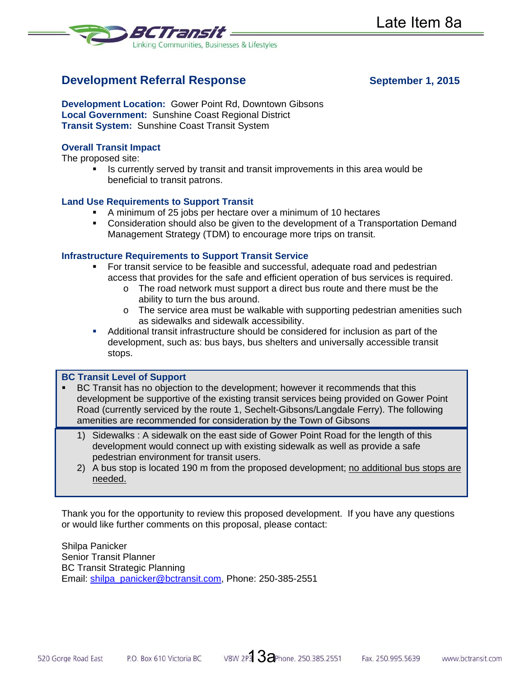

# **Development Referral Response September 1, 2015**

**Development Location:** Gower Point Rd, Downtown Gibsons **Local Government:** Sunshine Coast Regional District **Transit System:** Sunshine Coast Transit System

### **Overall Transit Impact**

The proposed site:

If Is currently served by transit and transit improvements in this area would be beneficial to transit patrons.

#### **Land Use Requirements to Support Transit**

- A minimum of 25 jobs per hectare over a minimum of 10 hectares
- Consideration should also be given to the development of a Transportation Demand Management Strategy (TDM) to encourage more trips on transit.

#### **Infrastructure Requirements to Support Transit Service**

- For transit service to be feasible and successful, adequate road and pedestrian access that provides for the safe and efficient operation of bus services is required.
	- o The road network must support a direct bus route and there must be the ability to turn the bus around.
	- o The service area must be walkable with supporting pedestrian amenities such as sidewalks and sidewalk accessibility.
- Additional transit infrastructure should be considered for inclusion as part of the development, such as: bus bays, bus shelters and universally accessible transit stops.

#### **BC Transit Level of Support**

- BC Transit has no objection to the development; however it recommends that this development be supportive of the existing transit services being provided on Gower Point Road (currently serviced by the route 1, Sechelt-Gibsons/Langdale Ferry). The following amenities are recommended for consideration by the Town of Gibsons
	- 1) Sidewalks : A sidewalk on the east side of Gower Point Road for the length of this development would connect up with existing sidewalk as well as provide a safe pedestrian environment for transit users.
	- 2) A bus stop is located 190 m from the proposed development; no additional bus stops are needed.

Thank you for the opportunity to review this proposed development. If you have any questions or would like further comments on this proposal, please contact:

Shilpa Panicker Senior Transit Planner BC Transit Strategic Planning Email: shilpa\_panicker@bctransit.com, Phone: 250-385-2551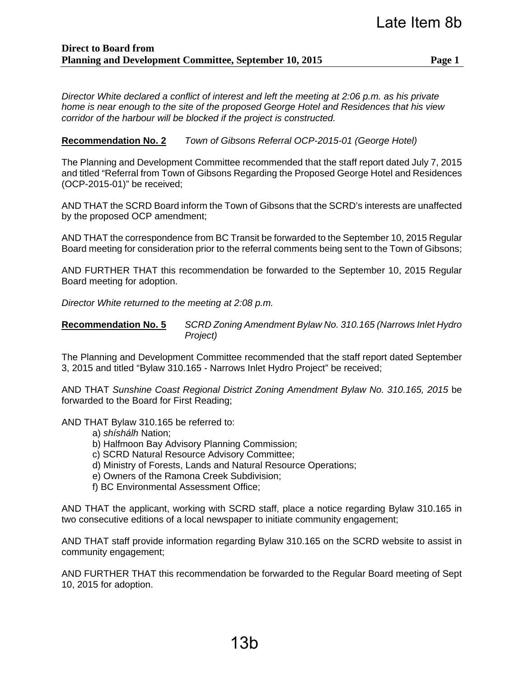*Director White declared a conflict of interest and left the meeting at 2:06 p.m. as his private home is near enough to the site of the proposed George Hotel and Residences that his view corridor of the harbour will be blocked if the project is constructed.*

## **Recommendation No. 2** *Town of Gibsons Referral OCP-2015-01 (George Hotel)*

The Planning and Development Committee recommended that the staff report dated July 7, 2015 and titled "Referral from Town of Gibsons Regarding the Proposed George Hotel and Residences (OCP-2015-01)" be received;

AND THAT the SCRD Board inform the Town of Gibsons that the SCRD's interests are unaffected by the proposed OCP amendment;

AND THAT the correspondence from BC Transit be forwarded to the September 10, 2015 Regular Board meeting for consideration prior to the referral comments being sent to the Town of Gibsons;

AND FURTHER THAT this recommendation be forwarded to the September 10, 2015 Regular Board meeting for adoption.

*Director White returned to the meeting at 2:08 p.m.* 

**Recommendation No. 5** *SCRD Zoning Amendment Bylaw No. 310.165 (Narrows Inlet Hydro Project)*

The Planning and Development Committee recommended that the staff report dated September 3, 2015 and titled "Bylaw 310.165 - Narrows Inlet Hydro Project" be received;

AND THAT *Sunshine Coast Regional District Zoning Amendment Bylaw No. 310.165, 2015* be forwarded to the Board for First Reading;

AND THAT Bylaw 310.165 be referred to:

- a) *shíshálh* Nation;
- b) Halfmoon Bay Advisory Planning Commission;
- c) SCRD Natural Resource Advisory Committee;
- d) Ministry of Forests, Lands and Natural Resource Operations;
- e) Owners of the Ramona Creek Subdivision;
- f) BC Environmental Assessment Office;

AND THAT the applicant, working with SCRD staff, place a notice regarding Bylaw 310.165 in two consecutive editions of a local newspaper to initiate community engagement;

AND THAT staff provide information regarding Bylaw 310.165 on the SCRD website to assist in community engagement;

AND FURTHER THAT this recommendation be forwarded to the Regular Board meeting of Sept 10, 2015 for adoption.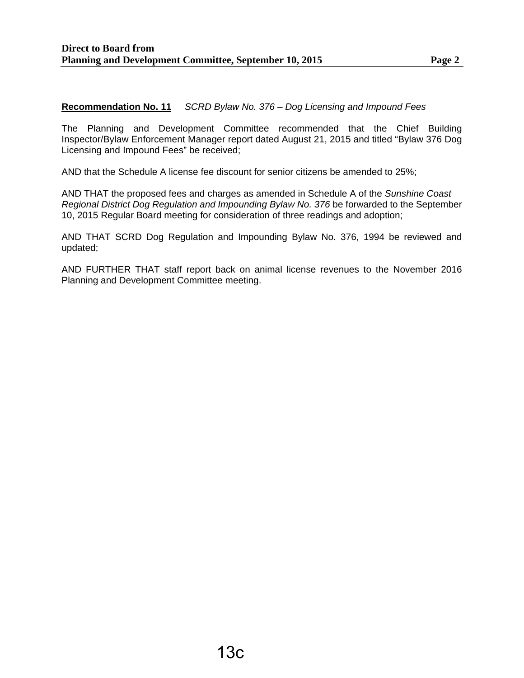#### **Recommendation No. 11** *SCRD Bylaw No. 376 – Dog Licensing and Impound Fees*

The Planning and Development Committee recommended that the Chief Building Inspector/Bylaw Enforcement Manager report dated August 21, 2015 and titled "Bylaw 376 Dog Licensing and Impound Fees" be received;

AND that the Schedule A license fee discount for senior citizens be amended to 25%;

AND THAT the proposed fees and charges as amended in Schedule A of the *Sunshine Coast Regional District Dog Regulation and Impounding Bylaw No. 376 be forwarded to the September* 10, 2015 Regular Board meeting for consideration of three readings and adoption;

AND THAT SCRD Dog Regulation and Impounding Bylaw No. 376, 1994 be reviewed and updated;

AND FURTHER THAT staff report back on animal license revenues to the November 2016 Planning and Development Committee meeting.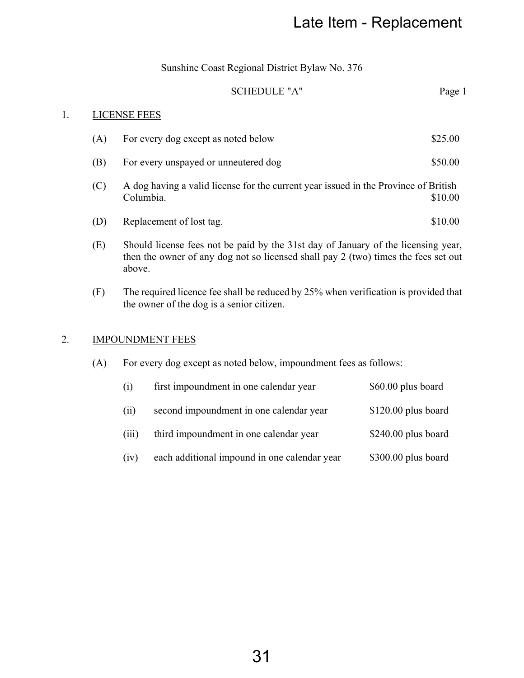## SCHEDULE "A" Page 1

## 1. LICENSE FEES

|     |                                                                                                                                                                                   |                                                | Late Item - Replacement |  |
|-----|-----------------------------------------------------------------------------------------------------------------------------------------------------------------------------------|------------------------------------------------|-------------------------|--|
|     |                                                                                                                                                                                   | Sunshine Coast Regional District Bylaw No. 376 |                         |  |
|     |                                                                                                                                                                                   | <b>SCHEDULE "A"</b>                            | Page 1                  |  |
|     | <b>LICENSE FEES</b>                                                                                                                                                               |                                                |                         |  |
| (A) |                                                                                                                                                                                   | For every dog except as noted below            | \$25.00                 |  |
| (B) | For every unspayed or unneutered dog                                                                                                                                              |                                                | \$50.00                 |  |
| (C) | A dog having a valid license for the current year issued in the Province of British<br>Columbia.<br>\$10.00                                                                       |                                                |                         |  |
| (D) |                                                                                                                                                                                   | Replacement of lost tag.                       | \$10.00                 |  |
| (E) | Should license fees not be paid by the 31st day of January of the licensing year,<br>then the owner of any dog not so licensed shall pay 2 (two) times the fees set out<br>above. |                                                |                         |  |
| (F) | The required licence fee shall be reduced by 25% when verification is provided that<br>the owner of the dog is a senior citizen.                                                  |                                                |                         |  |
|     |                                                                                                                                                                                   | <b>IMPOUNDMENT FEES</b>                        |                         |  |
| (A) | For every dog except as noted below, impoundment fees as follows:                                                                                                                 |                                                |                         |  |
|     | (i)                                                                                                                                                                               | first impoundment in one calendar year         | \$60.00 plus board      |  |
|     | (ii)                                                                                                                                                                              | second impoundment in one calendar year        | \$120.00 plus board     |  |
|     | (iii)                                                                                                                                                                             | third impoundment in one calendar year         | \$240.00 plus board     |  |
|     | (iv)                                                                                                                                                                              | each additional impound in one calendar year   | \$300.00 plus board     |  |
|     |                                                                                                                                                                                   |                                                |                         |  |
|     |                                                                                                                                                                                   |                                                |                         |  |
|     |                                                                                                                                                                                   |                                                |                         |  |
|     |                                                                                                                                                                                   |                                                |                         |  |
|     |                                                                                                                                                                                   |                                                |                         |  |
|     |                                                                                                                                                                                   |                                                |                         |  |
|     |                                                                                                                                                                                   | 31                                             |                         |  |

# 2. **IMPOUNDMENT FEES**

| (1)   | first impoundment in one calendar year       | \$60.00 plus board   |
|-------|----------------------------------------------|----------------------|
| (11)  | second impoundment in one calendar year      | $$120.00$ plus board |
| (111) | third impoundment in one calendar year       | $$240.00$ plus board |
| (1V)  | each additional impound in one calendar year | \$300.00 plus board  |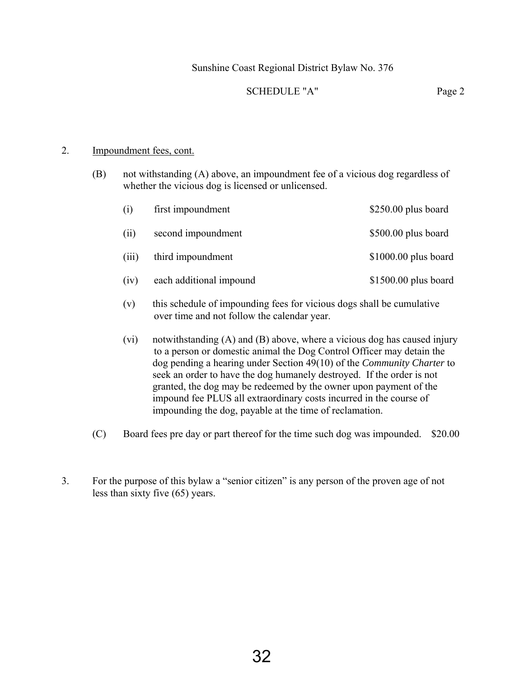## Sunshine Coast Regional District Bylaw No. 376

### SCHEDULE "A" Page 2

## 2. Impoundment fees, cont.

(B) not withstanding (A) above, an impoundment fee of a vicious dog regardless of whether the vicious dog is licensed or unlicensed.

| (i)   | first impoundment       | $$250.00$ plus board  |
|-------|-------------------------|-----------------------|
| (i)   | second impoundment      | \$500.00 plus board   |
| (111) | third impoundment       | $$1000.00$ plus board |
| (iv)  | each additional impound | $$1500.00$ plus board |

- (v) this schedule of impounding fees for vicious dogs shall be cumulative over time and not follow the calendar year.
- (vi) notwithstanding (A) and (B) above, where a vicious dog has caused injury to a person or domestic animal the Dog Control Officer may detain the dog pending a hearing under Section 49(10) of the *Community Charter* to seek an order to have the dog humanely destroyed. If the order is not granted, the dog may be redeemed by the owner upon payment of the impound fee PLUS all extraordinary costs incurred in the course of impounding the dog, payable at the time of reclamation.
- (C) Board fees pre day or part thereof for the time such dog was impounded. \$20.00
- 3. For the purpose of this bylaw a "senior citizen" is any person of the proven age of not less than sixty five (65) years.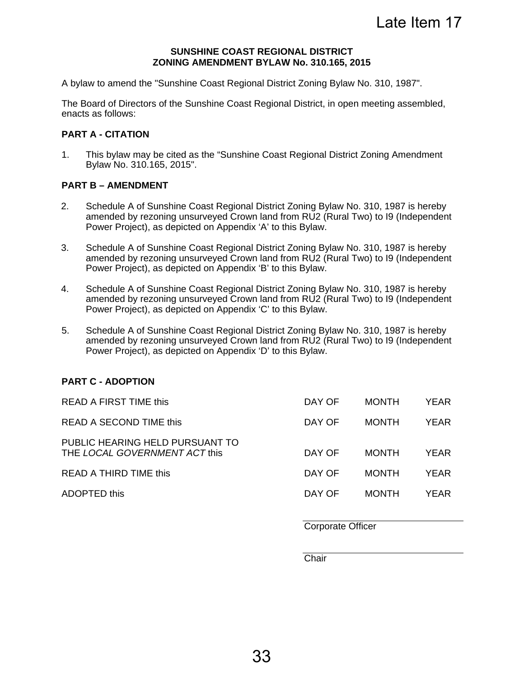#### **SUNSHINE COAST REGIONAL DISTRICT ZONING AMENDMENT BYLAW No. 310.165, 2015**

A bylaw to amend the "Sunshine Coast Regional District Zoning Bylaw No. 310, 1987".

The Board of Directors of the Sunshine Coast Regional District, in open meeting assembled, enacts as follows:

### **PART A - CITATION**

1. This bylaw may be cited as the "Sunshine Coast Regional District Zoning Amendment Bylaw No. 310.165, 2015".

#### **PART B – AMENDMENT**

- 2. Schedule A of Sunshine Coast Regional District Zoning Bylaw No. 310, 1987 is hereby amended by rezoning unsurveyed Crown land from RU2 (Rural Two) to I9 (Independent Power Project), as depicted on Appendix 'A' to this Bylaw.
- 3. Schedule A of Sunshine Coast Regional District Zoning Bylaw No. 310, 1987 is hereby amended by rezoning unsurveyed Crown land from RU2 (Rural Two) to I9 (Independent Power Project), as depicted on Appendix 'B' to this Bylaw.
- 4. Schedule A of Sunshine Coast Regional District Zoning Bylaw No. 310, 1987 is hereby amended by rezoning unsurveyed Crown land from RU2 (Rural Two) to I9 (Independent Power Project), as depicted on Appendix 'C' to this Bylaw.
- 5. Schedule A of Sunshine Coast Regional District Zoning Bylaw No. 310, 1987 is hereby amended by rezoning unsurveyed Crown land from RU2 (Rural Two) to I9 (Independent Power Project), as depicted on Appendix 'D' to this Bylaw.

## **PART C - ADOPTION**

| <b>READ A FIRST TIME this</b>                                    | DAY OF | <b>MONTH</b> | <b>YEAR</b> |
|------------------------------------------------------------------|--------|--------------|-------------|
| READ A SECOND TIME this                                          | DAY OF | <b>MONTH</b> | <b>YFAR</b> |
| PUBLIC HEARING HELD PURSUANT TO<br>THE LOCAL GOVERNMENT ACT this | DAY OF | <b>MONTH</b> | YEAR        |
| READ A THIRD TIME this                                           | DAY OF | <b>MONTH</b> | YEAR        |
| ADOPTED this                                                     | DAY OF | <b>MONTH</b> | <b>YFAR</b> |
|                                                                  |        |              |             |

Corporate Officer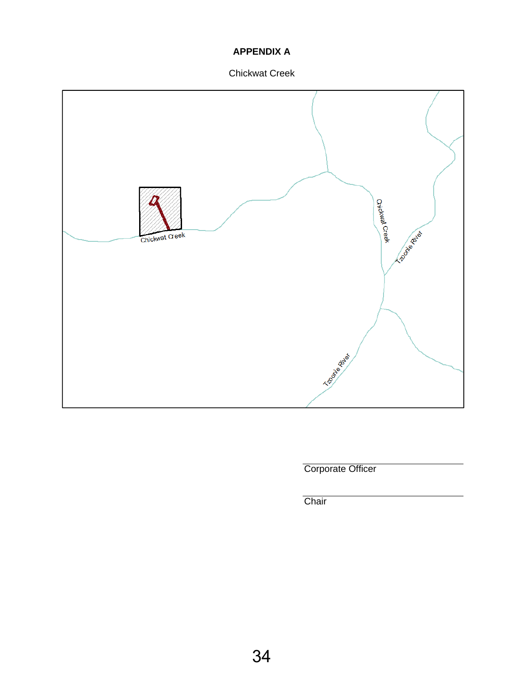## **APPENDIX A**

Chickwat Creek



Corporate Officer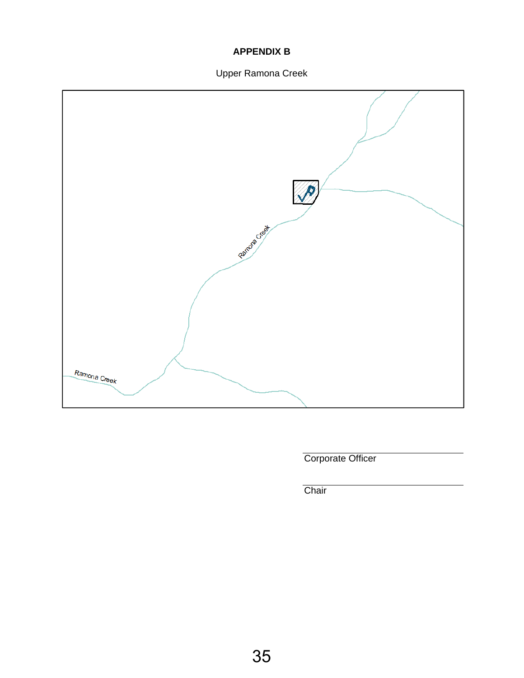## **APPENDIX B**

# Upper Ramona Creek



Corporate Officer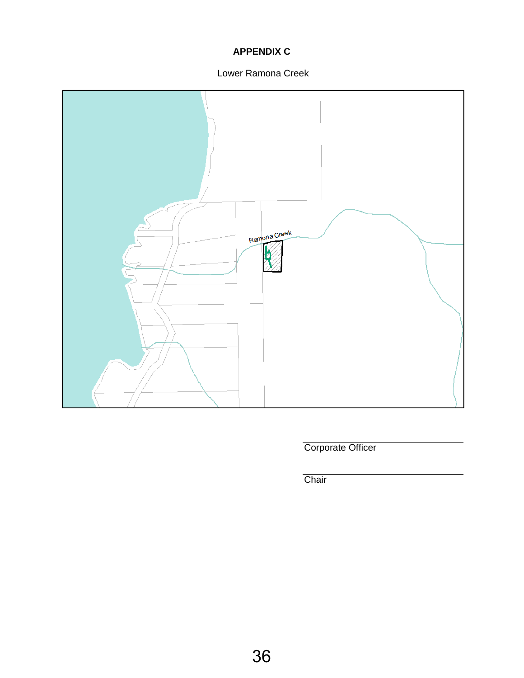# **APPENDIX C**

## Lower Ramona Creek



Corporate Officer